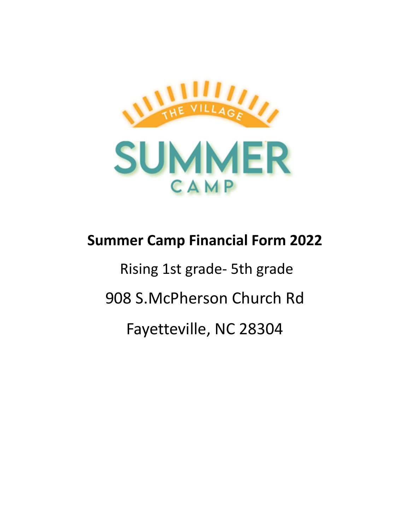

## **Summer Camp Financial Form 2022**

Rising 1st grade- 5th grade 908 S.McPherson Church Rd Fayetteville, NC 28304